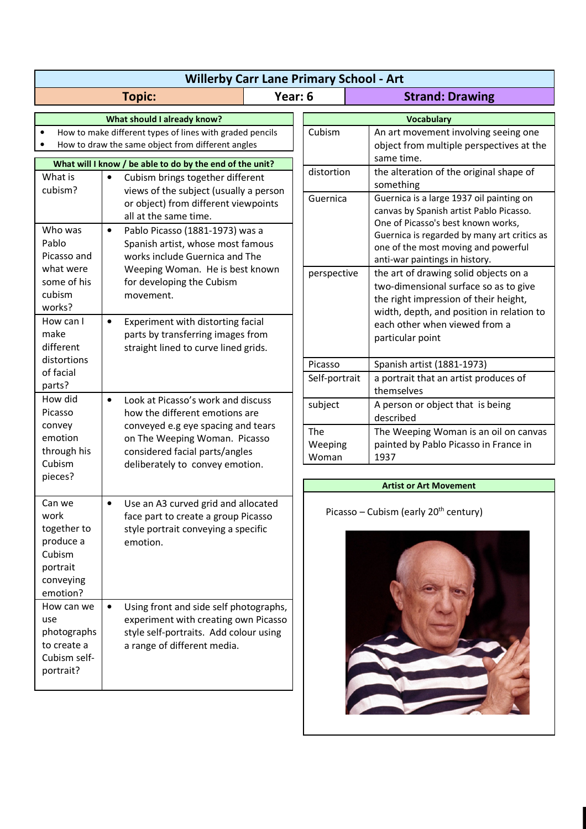| <b>Willerby Carr Lane Primary School - Art</b>                                                                |                                                                                                                                                                      |         |                                                   |                                                                                                                                                                                  |
|---------------------------------------------------------------------------------------------------------------|----------------------------------------------------------------------------------------------------------------------------------------------------------------------|---------|---------------------------------------------------|----------------------------------------------------------------------------------------------------------------------------------------------------------------------------------|
| <b>Topic:</b>                                                                                                 |                                                                                                                                                                      | Year: 6 |                                                   | <b>Strand: Drawing</b>                                                                                                                                                           |
| What should I already know?<br><b>Vocabulary</b>                                                              |                                                                                                                                                                      |         |                                                   |                                                                                                                                                                                  |
| How to make different types of lines with graded pencils<br>How to draw the same object from different angles |                                                                                                                                                                      |         | Cubism                                            | An art movement involving seeing one<br>object from multiple perspectives at the                                                                                                 |
| What will I know / be able to do by the end of the unit?                                                      |                                                                                                                                                                      |         | distortion                                        | same time.                                                                                                                                                                       |
| What is                                                                                                       | Cubism brings together different<br>$\bullet$<br>cubism?<br>views of the subject (usually a person<br>or object) from different viewpoints<br>all at the same time.  |         |                                                   | the alteration of the original shape of<br>something                                                                                                                             |
|                                                                                                               |                                                                                                                                                                      |         | Guernica                                          | Guernica is a large 1937 oil painting on<br>canvas by Spanish artist Pablo Picasso.<br>One of Picasso's best known works,                                                        |
| Who was<br>Pablo<br>Picasso and                                                                               | $\bullet$<br>Pablo Picasso (1881-1973) was a<br>Spanish artist, whose most famous<br>works include Guernica and The                                                  |         |                                                   | Guernica is regarded by many art critics as<br>one of the most moving and powerful                                                                                               |
| what were                                                                                                     | Weeping Woman. He is best known                                                                                                                                      |         | perspective                                       | anti-war paintings in history.<br>the art of drawing solid objects on a                                                                                                          |
| some of his<br>cubism<br>works?                                                                               | for developing the Cubism<br>movement.                                                                                                                               |         |                                                   | two-dimensional surface so as to give<br>the right impression of their height,<br>width, depth, and position in relation to<br>each other when viewed from a<br>particular point |
| How can I<br>make<br>different                                                                                | $\bullet$<br>Experiment with distorting facial<br>parts by transferring images from<br>straight lined to curve lined grids.                                          |         |                                                   |                                                                                                                                                                                  |
| distortions                                                                                                   |                                                                                                                                                                      |         | Picasso                                           | Spanish artist (1881-1973)                                                                                                                                                       |
| of facial<br>parts?                                                                                           |                                                                                                                                                                      |         | Self-portrait                                     | a portrait that an artist produces of<br>themselves                                                                                                                              |
| How did<br>$\bullet$<br>Picasso                                                                               | Look at Picasso's work and discuss<br>how the different emotions are                                                                                                 |         | subject                                           | A person or object that is being<br>described                                                                                                                                    |
| convey<br>emotion<br>through his                                                                              | conveyed e.g eye spacing and tears<br>on The Weeping Woman. Picasso<br>considered facial parts/angles                                                                |         | The<br>Weeping                                    | The Weeping Woman is an oil on canvas<br>painted by Pablo Picasso in France in                                                                                                   |
| Cubism                                                                                                        | deliberately to convey emotion.                                                                                                                                      |         | Woman                                             | 1937                                                                                                                                                                             |
| pieces?                                                                                                       |                                                                                                                                                                      |         | <b>Artist or Art Movement</b>                     |                                                                                                                                                                                  |
| Can we<br>work<br>together to                                                                                 | Use an A3 curved grid and allocated<br>$\bullet$<br>face part to create a group Picasso<br>style portrait conveying a specific                                       |         | Picasso - Cubism (early 20 <sup>th</sup> century) |                                                                                                                                                                                  |
| produce a<br>Cubism<br>portrait<br>conveying<br>emotion?                                                      | emotion.                                                                                                                                                             |         |                                                   |                                                                                                                                                                                  |
| How can we<br>use<br>photographs<br>to create a<br>Cubism self-<br>portrait?                                  | Using front and side self photographs,<br>$\bullet$<br>experiment with creating own Picasso<br>style self-portraits. Add colour using<br>a range of different media. |         |                                                   |                                                                                                                                                                                  |
|                                                                                                               |                                                                                                                                                                      |         |                                                   |                                                                                                                                                                                  |

**MARKET** 

 $\sim$